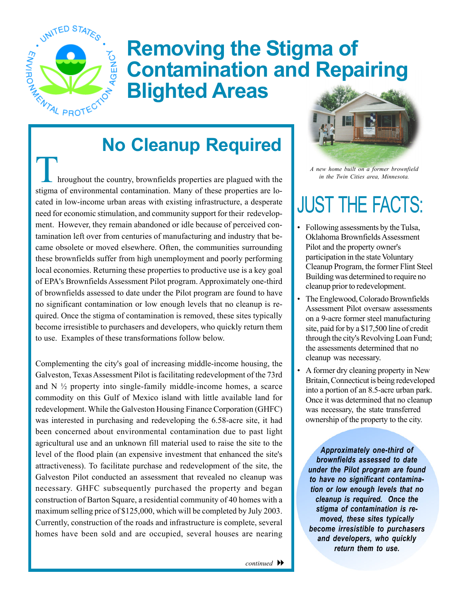

# **Removing the Stigma of Contamination and Repairing Blighted Areas No Cleanup Required**<br>
No Cleanup Required

Interior the country, brownfields properties are plagued with the stigma of environmental contamination. Many of these properties are located in low-income urban areas with existing infrastructure, a desperate need for economic stimulation, and community support for their redevelopment. However, they remain abandoned or idle because of perceived contamination left over from centuries of manufacturing and industry that became obsolete or moved elsewhere. Often, the communities surrounding these brownfields suffer from high unemployment and poorly performing local economies. Returning these properties to productive use is a key goal of EPA's Brownfields Assessment Pilot program. Approximately one-third of brownfields assessed to date under the Pilot program are found to have no significant contamination or low enough levels that no cleanup is required. Once the stigma of contamination is removed, these sites typically become irresistible to purchasers and developers, who quickly return them to use. Examples of these transformations follow below.

Complementing the city's goal of increasing middle-income housing, the Galveston, Texas Assessment Pilot is facilitating redevelopment of the 73rd and  $N \frac{1}{2}$  property into single-family middle-income homes, a scarce commodity on this Gulf of Mexico island with little available land for redevelopment. While the Galveston Housing Finance Corporation (GHFC) was interested in purchasing and redeveloping the 6.58-acre site, it had been concerned about environmental contamination due to past light agricultural use and an unknown fill material used to raise the site to the level of the flood plain (an expensive investment that enhanced the site's attractiveness). To facilitate purchase and redevelopment of the site, the Galveston Pilot conducted an assessment that revealed no cleanup was necessary. GHFC subsequently purchased the property and began construction of Barton Square, a residential community of 40 homes with a maximum selling price of \$125,000, which will be completed by July 2003. Currently, construction of the roads and infrastructure is complete, several homes have been sold and are occupied, several houses are nearing



*A new home built on a former brownfield in the Twin Cities area, Minnesota.* 

## JUST THE FACTS:

- Following assessments by the Tulsa, Oklahoma Brownfields Assessment Pilot and the property owner's participation in the state Voluntary Cleanup Program, the former Flint Steel Building was determined to require no cleanup prior to redevelopment.
- The Englewood, Colorado Brownfields Assessment Pilot oversaw assessments on a 9-acre former steel manufacturing site, paid for by a \$17,500 line of credit through the city's Revolving Loan Fund; the assessments determined that no cleanup was necessary.
- A former dry cleaning property in New Britain, Connecticut is being redeveloped into a portion of an 8.5-acre urban park. Once it was determined that no cleanup was necessary, the state transferred ownership of the property to the city.

*Approximately one-third of brownfields assessed to date under the Pilot program are found to have no significant contamination or low enough levels that no cleanup is required. Once the stigma of contamination is removed, these sites typically become irresistible to purchasers and developers, who quickly return them to use.*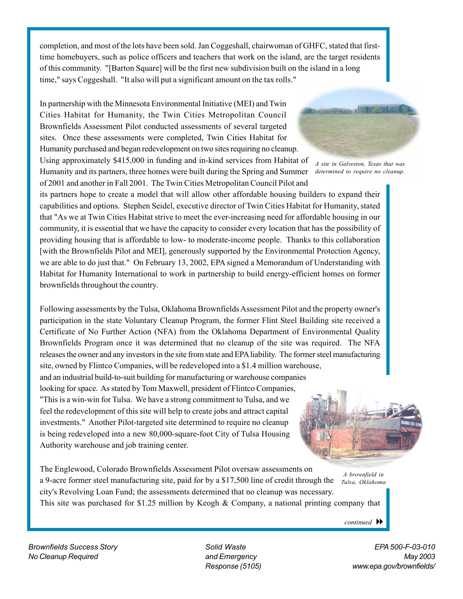completion, and most of the lots have been sold. Jan Coggeshall, chairwoman of GHFC, stated that firsttime homebuyers, such as police officers and teachers that work on the island, are the target residents of this community. "[Barton Square] will be the first new subdivision built on the island in a long time," says Coggeshall. "It also will put a significant amount on the tax rolls."

In partnership with the Minnesota Environmental Initiative (MEI) and Twin Cities Habitat for Humanity, the Twin Cities Metropolitan Council Brownfields Assessment Pilot conducted assessments of several targeted sites. Once these assessments were completed, Twin Cities Habitat for Humanity purchased and began redevelopment on two sites requiring no cleanup.

Using approximately \$415,000 in funding and in-kind services from Habitat of Humanity and its partners, three homes were built during the Spring and Summer of 2001 and another in Fall 2001. The Twin Cities Metropolitan Council Pilot and



*A site in Galveston, Texas that was determined to require no cleanup.* 

its partners hope to create a model that will allow other affordable housing builders to expand their capabilities and options. Stephen Seidel, executive director of Twin Cities Habitat for Humanity, stated that "As we at Twin Cities Habitat strive to meet the ever-increasing need for affordable housing in our community, it is essential that we have the capacity to consider every location that has the possibility of providing housing that is affordable to low- to moderate-income people. Thanks to this collaboration [with the Brownfields Pilot and MEI], generously supported by the Environmental Protection Agency, we are able to do just that." On February 13, 2002, EPA signed a Memorandum of Understanding with Habitat for Humanity International to work in partnership to build energy-efficient homes on former brownfields throughout the country.

Following assessments by the Tulsa, Oklahoma Brownfields Assessment Pilot and the property owner's participation in the state Voluntary Cleanup Program, the former Flint Steel Building site received a Certificate of No Further Action (NFA) from the Oklahoma Department of Environmental Quality Brownfields Program once it was determined that no cleanup of the site was required. The NFA releases the owner and any investors in the site from state and EPA liability. The former steel manufacturing site, owned by Flintco Companies, will be redeveloped into a \$1.4 million warehouse, and an industrial build-to-suit building for manufacturing or warehouse companies looking for space. As stated by Tom Maxwell, president of Flintco Companies, "This is a win-win for Tulsa. We have a strong commitment to Tulsa, and we feel the redevelopment of this site will help to create jobs and attract capital investments." Another Pilot-targeted site determined to require no cleanup is being redeveloped into a new 80,000-square-foot City of Tulsa Housing Authority warehouse and job training center.



*A brownfield in Tulsa, Oklahoma*  The Englewood, Colorado Brownfields Assessment Pilot oversaw assessments on a 9-acre former steel manufacturing site, paid for by a \$17,500 line of credit through the city's Revolving Loan Fund; the assessments determined that no cleanup was necessary. This site was purchased for \$1.25 million by Keogh & Company, a national printing company that

*continued* 

*Brownfields Success Story Solid Waste EPA 500-F-03-010 No Cleanup Required and Emergency May 2003* 

*Response (5105) www.epa.gov/brownfields/*